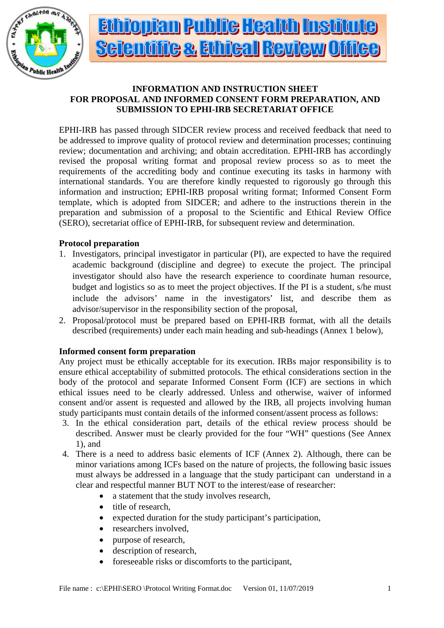

# <u>Ethiopian Public Health Institute</u> **Scientifile & Ethical Review Office**

## **INFORMATION AND INSTRUCTION SHEET FOR PROPOSAL AND INFORMED CONSENT FORM PREPARATION, AND SUBMISSION TO EPHI-IRB SECRETARIAT OFFICE**

EPHI-IRB has passed through SIDCER review process and received feedback that need to be addressed to improve quality of protocol review and determination processes; continuing review; documentation and archiving; and obtain accreditation. EPHI-IRB has accordingly revised the proposal writing format and proposal review process so as to meet the requirements of the accrediting body and continue executing its tasks in harmony with international standards. You are therefore kindly requested to rigorously go through this information and instruction; EPHI-IRB proposal writing format; Informed Consent Form template, which is adopted from SIDCER; and adhere to the instructions therein in the preparation and submission of a proposal to the Scientific and Ethical Review Office (SERO), secretariat office of EPHI-IRB, for subsequent review and determination.

## **Protocol preparation**

- 1. Investigators, principal investigator in particular (PI), are expected to have the required academic background (discipline and degree) to execute the project. The principal investigator should also have the research experience to coordinate human resource, budget and logistics so as to meet the project objectives. If the PI is a student, s/he must include the advisors' name in the investigators' list, and describe them as advisor/supervisor in the responsibility section of the proposal,
- 2. Proposal/protocol must be prepared based on EPHI-IRB format, with all the details described (requirements) under each main heading and sub-headings (Annex 1 below),

## **Informed consent form preparation**

Any project must be ethically acceptable for its execution. IRBs major responsibility is to ensure ethical acceptability of submitted protocols. The ethical considerations section in the body of the protocol and separate Informed Consent Form (ICF) are sections in which ethical issues need to be clearly addressed. Unless and otherwise, waiver of informed consent and/or assent is requested and allowed by the IRB, all projects involving human study participants must contain details of the informed consent/assent process as follows:

- 3. In the ethical consideration part, details of the ethical review process should be described. Answer must be clearly provided for the four "WH" questions (See Annex 1), and
- 4. There is a need to address basic elements of ICF (Annex 2). Although, there can be minor variations among ICFs based on the nature of projects, the following basic issues must always be addressed in a language that the study participant can understand in a clear and respectful manner BUT NOT to the interest/ease of researcher:
	- a statement that the study involves research,
	- title of research,
	- expected duration for the study participant's participation,
	- researchers involved,
	- purpose of research,
	- description of research,
	- foreseeable risks or discomforts to the participant,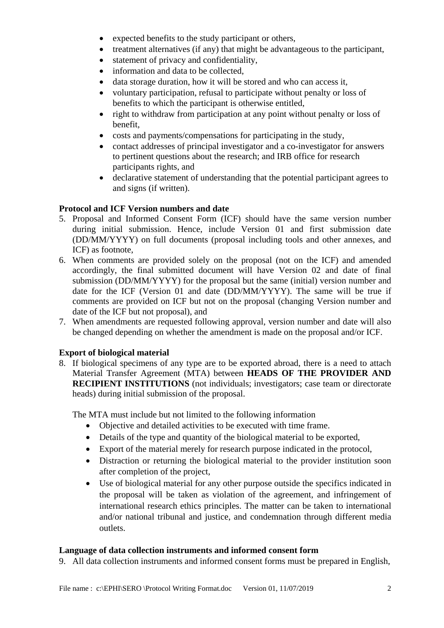- expected benefits to the study participant or others,
- treatment alternatives (if any) that might be advantageous to the participant,
- statement of privacy and confidentiality,
- information and data to be collected.
- data storage duration, how it will be stored and who can access it,
- voluntary participation, refusal to participate without penalty or loss of benefits to which the participant is otherwise entitled,
- right to withdraw from participation at any point without penalty or loss of benefit,
- costs and payments/compensations for participating in the study,
- contact addresses of principal investigator and a co-investigator for answers to pertinent questions about the research; and IRB office for research participants rights, and
- declarative statement of understanding that the potential participant agrees to and signs (if written).

## **Protocol and ICF Version numbers and date**

- 5. Proposal and Informed Consent Form (ICF) should have the same version number during initial submission. Hence, include Version 01 and first submission date (DD/MM/YYYY) on full documents (proposal including tools and other annexes, and ICF) as footnote,
- 6. When comments are provided solely on the proposal (not on the ICF) and amended accordingly, the final submitted document will have Version 02 and date of final submission (DD/MM/YYYY) for the proposal but the same (initial) version number and date for the ICF (Version 01 and date (DD/MM/YYYY). The same will be true if comments are provided on ICF but not on the proposal (changing Version number and date of the ICF but not proposal), and
- 7. When amendments are requested following approval, version number and date will also be changed depending on whether the amendment is made on the proposal and/or ICF.

## **Export of biological material**

8. If biological specimens of any type are to be exported abroad, there is a need to attach Material Transfer Agreement (MTA) between **HEADS OF THE PROVIDER AND RECIPIENT INSTITUTIONS** (not individuals; investigators; case team or directorate heads) during initial submission of the proposal.

The MTA must include but not limited to the following information

- Objective and detailed activities to be executed with time frame.
- Details of the type and quantity of the biological material to be exported,
- Export of the material merely for research purpose indicated in the protocol,
- Distraction or returning the biological material to the provider institution soon after completion of the project,
- Use of biological material for any other purpose outside the specifics indicated in the proposal will be taken as violation of the agreement, and infringement of international research ethics principles. The matter can be taken to international and/or national tribunal and justice, and condemnation through different media outlets.

## **Language of data collection instruments and informed consent form**

9. All data collection instruments and informed consent forms must be prepared in English,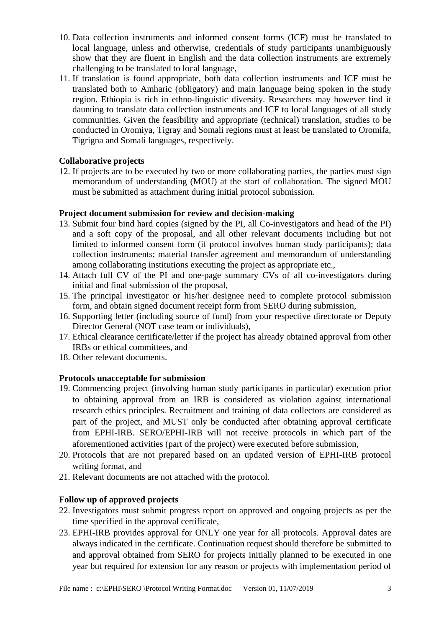- 10. Data collection instruments and informed consent forms (ICF) must be translated to local language, unless and otherwise, credentials of study participants unambiguously show that they are fluent in English and the data collection instruments are extremely challenging to be translated to local language,
- 11. If translation is found appropriate, both data collection instruments and ICF must be translated both to Amharic (obligatory) and main language being spoken in the study region. Ethiopia is rich in ethno-linguistic diversity. Researchers may however find it daunting to translate data collection instruments and ICF to local languages of all study communities. Given the feasibility and appropriate (technical) translation, studies to be conducted in Oromiya, Tigray and Somali regions must at least be translated to Oromifa, Tigrigna and Somali languages, respectively.

## **Collaborative projects**

12. If projects are to be executed by two or more collaborating parties, the parties must sign memorandum of understanding (MOU) at the start of collaboration. The signed MOU must be submitted as attachment during initial protocol submission.

## **Project document submission for review and decision-making**

- 13. Submit four bind hard copies (signed by the PI, all Co-investigators and head of the PI) and a soft copy of the proposal, and all other relevant documents including but not limited to informed consent form (if protocol involves human study participants); data collection instruments; material transfer agreement and memorandum of understanding among collaborating institutions executing the project as appropriate etc.,
- 14. Attach full CV of the PI and one-page summary CVs of all co-investigators during initial and final submission of the proposal,
- 15. The principal investigator or his/her designee need to complete protocol submission form, and obtain signed document receipt form from SERO during submission,
- 16. Supporting letter (including source of fund) from your respective directorate or Deputy Director General (NOT case team or individuals),
- 17. Ethical clearance certificate/letter if the project has already obtained approval from other IRBs or ethical committees, and
- 18. Other relevant documents.

#### **Protocols unacceptable for submission**

- 19. Commencing project (involving human study participants in particular) execution prior to obtaining approval from an IRB is considered as violation against international research ethics principles. Recruitment and training of data collectors are considered as part of the project, and MUST only be conducted after obtaining approval certificate from EPHI-IRB. SERO/EPHI-IRB will not receive protocols in which part of the aforementioned activities (part of the project) were executed before submission,
- 20. Protocols that are not prepared based on an updated version of EPHI-IRB protocol writing format, and
- 21. Relevant documents are not attached with the protocol.

## **Follow up of approved projects**

- 22. Investigators must submit progress report on approved and ongoing projects as per the time specified in the approval certificate,
- 23. EPHI-IRB provides approval for ONLY one year for all protocols. Approval dates are always indicated in the certificate. Continuation request should therefore be submitted to and approval obtained from SERO for projects initially planned to be executed in one year but required for extension for any reason or projects with implementation period of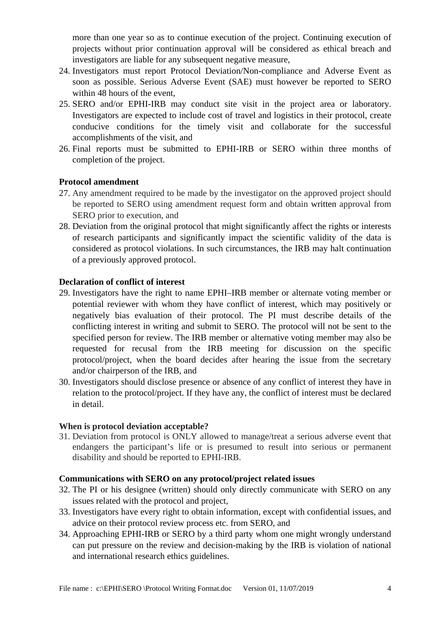more than one year so as to continue execution of the project. Continuing execution of projects without prior continuation approval will be considered as ethical breach and investigators are liable for any subsequent negative measure,

- 24. Investigators must report Protocol Deviation/Non-compliance and Adverse Event as soon as possible. Serious Adverse Event (SAE) must however be reported to SERO within 48 hours of the event,
- 25. SERO and/or EPHI-IRB may conduct site visit in the project area or laboratory. Investigators are expected to include cost of travel and logistics in their protocol, create conducive conditions for the timely visit and collaborate for the successful accomplishments of the visit, and
- 26. Final reports must be submitted to EPHI-IRB or SERO within three months of completion of the project.

## **Protocol amendment**

- 27. Any amendment required to be made by the investigator on the approved project should be reported to SERO using amendment request form and obtain written approval from SERO prior to execution, and
- 28. Deviation from the original protocol that might significantly affect the rights or interests of research participants and significantly impact the scientific validity of the data is considered as protocol violations. In such circumstances, the IRB may halt continuation of a previously approved protocol.

## **Declaration of conflict of interest**

- 29. Investigators have the right to name EPHI–IRB member or alternate voting member or potential reviewer with whom they have conflict of interest, which may positively or negatively bias evaluation of their protocol. The PI must describe details of the conflicting interest in writing and submit to SERO. The protocol will not be sent to the specified person for review. The IRB member or alternative voting member may also be requested for recusal from the IRB meeting for discussion on the specific protocol/project, when the board decides after hearing the issue from the secretary and/or chairperson of the IRB, and
- 30. Investigators should disclose presence or absence of any conflict of interest they have in relation to the protocol/project. If they have any, the conflict of interest must be declared in detail.

#### **When is protocol deviation acceptable?**

31. Deviation from protocol is ONLY allowed to manage/treat a serious adverse event that endangers the participant's life or is presumed to result into serious or permanent disability and should be reported to EPHI-IRB.

## **Communications with SERO on any protocol/project related issues**

- 32. The PI or his designee (written) should only directly communicate with SERO on any issues related with the protocol and project,
- 33. Investigators have every right to obtain information, except with confidential issues, and advice on their protocol review process etc. from SERO, and
- 34. Approaching EPHI-IRB or SERO by a third party whom one might wrongly understand can put pressure on the review and decision-making by the IRB is violation of national and international research ethics guidelines.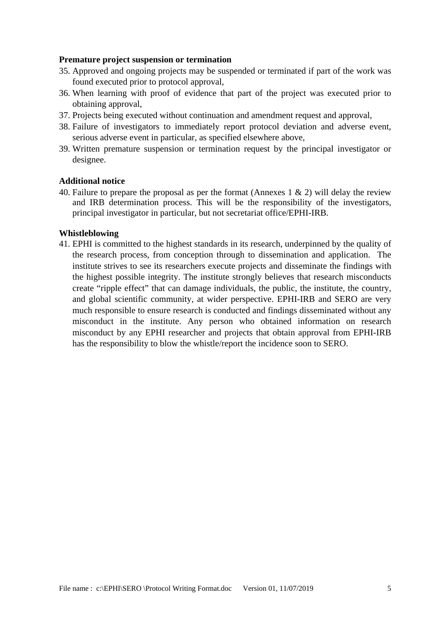#### **Premature project suspension or termination**

- 35. Approved and ongoing projects may be suspended or terminated if part of the work was found executed prior to protocol approval,
- 36. When learning with proof of evidence that part of the project was executed prior to obtaining approval,
- 37. Projects being executed without continuation and amendment request and approval,
- 38. Failure of investigators to immediately report protocol deviation and adverse event, serious adverse event in particular, as specified elsewhere above,
- 39. Written premature suspension or termination request by the principal investigator or designee.

#### **Additional notice**

40. Failure to prepare the proposal as per the format (Annexes 1 & 2) will delay the review and IRB determination process. This will be the responsibility of the investigators, principal investigator in particular, but not secretariat office/EPHI-IRB.

#### **Whistleblowing**

41. EPHI is committed to the highest standards in its research, underpinned by the quality of the research process, from conception through to dissemination and application. The institute strives to see its researchers execute projects and disseminate the findings with the highest possible integrity. The institute strongly believes that research misconducts create "ripple effect" that can damage individuals, the public, the institute, the country, and global scientific community, at wider perspective. EPHI-IRB and SERO are very much responsible to ensure research is conducted and findings disseminated without any misconduct in the institute. Any person who obtained information on research misconduct by any EPHI researcher and projects that obtain approval from EPHI-IRB has the responsibility to blow the whistle/report the incidence soon to SERO.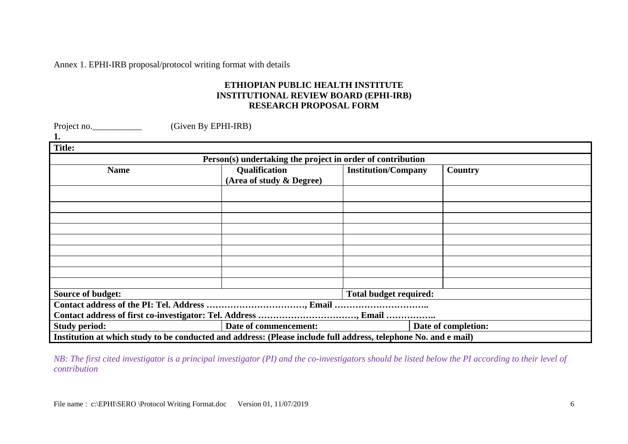Annex 1. EPHI-IRB proposal/protocol writing format with details

## **ETHIOPIAN PUBLIC HEALTH INSTITUTE INSTITUTIONAL REVIEW BOARD (EPHI-IRB) RESEARCH PROPOSAL FORM**

| Project no.<br>(Given By EPHI-IRB)                                                                              |                          |                               |                     |
|-----------------------------------------------------------------------------------------------------------------|--------------------------|-------------------------------|---------------------|
| 1.                                                                                                              |                          |                               |                     |
| <b>Title:</b>                                                                                                   |                          |                               |                     |
| Person(s) undertaking the project in order of contribution                                                      |                          |                               |                     |
| <b>Name</b>                                                                                                     | Qualification            | <b>Institution/Company</b>    | Country             |
|                                                                                                                 | (Area of study & Degree) |                               |                     |
|                                                                                                                 |                          |                               |                     |
|                                                                                                                 |                          |                               |                     |
|                                                                                                                 |                          |                               |                     |
|                                                                                                                 |                          |                               |                     |
|                                                                                                                 |                          |                               |                     |
|                                                                                                                 |                          |                               |                     |
|                                                                                                                 |                          |                               |                     |
|                                                                                                                 |                          |                               |                     |
|                                                                                                                 |                          |                               |                     |
| Source of budget:                                                                                               |                          | <b>Total budget required:</b> |                     |
|                                                                                                                 |                          |                               |                     |
|                                                                                                                 |                          |                               |                     |
| <b>Study period:</b>                                                                                            | Date of commencement:    |                               | Date of completion: |
| Institution at which study to be conducted and address: (Please include full address, telephone No. and e mail) |                          |                               |                     |

*NB: The first cited investigator is a principal investigator (PI) and the co-investigators should be listed below the PI according to their level of contribution*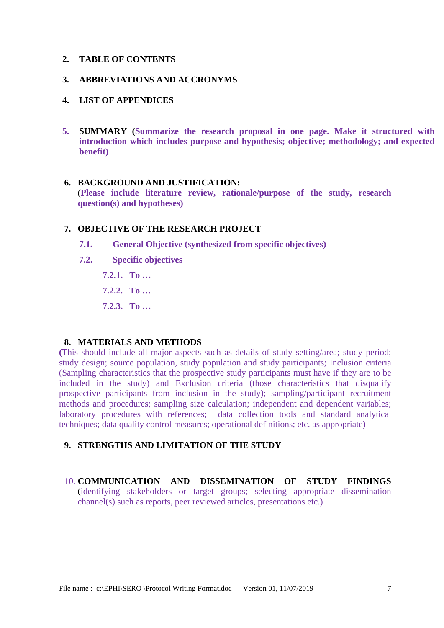#### **2. TABLE OF CONTENTS**

#### **3. ABBREVIATIONS AND ACCRONYMS**

#### **4. LIST OF APPENDICES**

**5. SUMMARY (Summarize the research proposal in one page. Make it structured with introduction which includes purpose and hypothesis; objective; methodology; and expected benefit)**

## **6. BACKGROUND AND JUSTIFICATION:**

(**Please include literature review, rationale/purpose of the study, research question(s) and hypotheses)**

#### **7. OBJECTIVE OF THE RESEARCH PROJECT**

- **7.1. General Objective (synthesized from specific objectives)**
- **7.2. Specific objectives**
	- **7.2.1. To …**
	- **7.2.2. To …**
	- **7.2.3. To …**

#### **8. MATERIALS AND METHODS**

**(**This should include all major aspects such as details of study setting/area; study period; study design; source population, study population and study participants; Inclusion criteria (Sampling characteristics that the prospective study participants must have if they are to be included in the study) and Exclusion criteria (those characteristics that disqualify prospective participants from inclusion in the study); sampling/participant recruitment methods and procedures; sampling size calculation; independent and dependent variables; laboratory procedures with references; data collection tools and standard analytical techniques; data quality control measures; operational definitions; etc. as appropriate)

## **9. STRENGTHS AND LIMITATION OF THE STUDY**

10. **COMMUNICATION AND DISSEMINATION OF STUDY FINDINGS**  (identifying stakeholders or target groups; selecting appropriate dissemination channel(s) such as reports, peer reviewed articles, presentations etc.)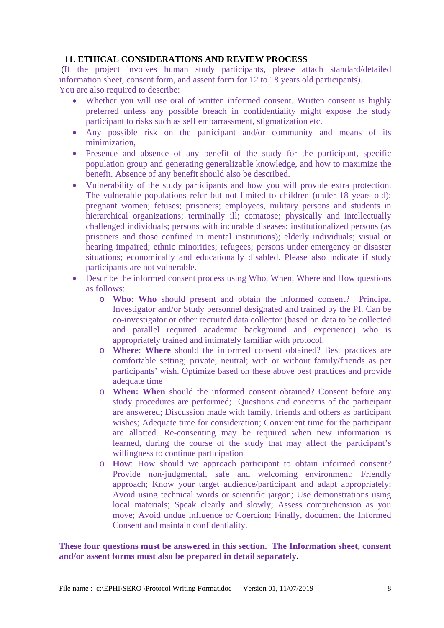#### **11. ETHICAL CONSIDERATIONS AND REVIEW PROCESS**

(If the project involves human study participants, please attach standard/detailed information sheet, consent form, and assent form for 12 to 18 years old participants). You are also required to describe:

- Whether you will use oral of written informed consent. Written consent is highly preferred unless any possible breach in confidentiality might expose the study participant to risks such as self embarrassment, stigmatization etc.
- Any possible risk on the participant and/or community and means of its minimization,
- Presence and absence of any benefit of the study for the participant, specific population group and generating generalizable knowledge, and how to maximize the benefit. Absence of any benefit should also be described.
- Vulnerability of the study participants and how you will provide extra protection. The vulnerable populations refer but not limited to children (under 18 years old); pregnant women; fetuses; prisoners; employees, military persons and students in hierarchical organizations; terminally ill; comatose; physically and intellectually challenged individuals; persons with incurable diseases; institutionalized persons (as prisoners and those confined in mental institutions); elderly individuals; visual or hearing impaired; ethnic minorities; refugees; persons under emergency or disaster situations; economically and educationally disabled. Please also indicate if study participants are not vulnerable.
- Describe the informed consent process using Who, When, Where and How questions as follows:
	- o **Who**: **Who** should present and obtain the informed consent? Principal Investigator and/or Study personnel designated and trained by the PI. Can be co-investigator or other recruited data collector (based on data to be collected and parallel required academic background and experience) who is appropriately trained and intimately familiar with protocol.
	- o **Where**: **Where** should the informed consent obtained? Best practices are comfortable setting; private; neutral; with or without family/friends as per participants' wish. Optimize based on these above best practices and provide adequate time
	- o **When: When** should the informed consent obtained? Consent before any study procedures are performed; Questions and concerns of the participant are answered; Discussion made with family, friends and others as participant wishes; Adequate time for consideration; Convenient time for the participant are allotted. Re-consenting may be required when new information is learned, during the course of the study that may affect the participant's willingness to continue participation
	- o **How**: How should we approach participant to obtain informed consent? Provide non-judgmental, safe and welcoming environment; Friendly approach; Know your target audience/participant and adapt appropriately; Avoid using technical words or scientific jargon; Use demonstrations using local materials; Speak clearly and slowly; Assess comprehension as you move; Avoid undue influence or Coercion; Finally, document the Informed Consent and maintain confidentiality.

**These four questions must be answered in this section. The Information sheet, consent and/or assent forms must also be prepared in detail separately.**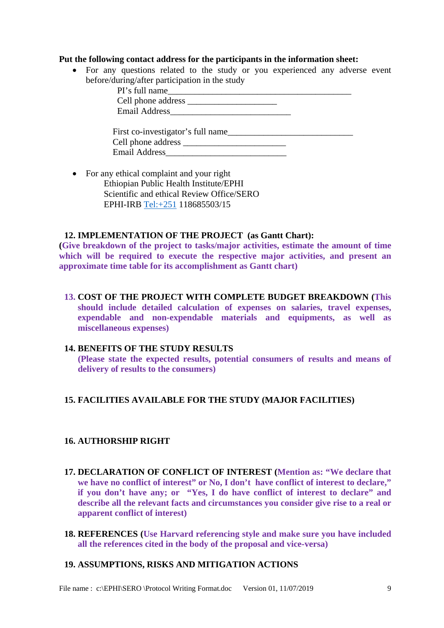#### **Put the following contact address for the participants in the information sheet:**

• For any questions related to the study or you experienced any adverse event before/during/after participation in the study

| PI's full name                                                                                                                                                                                                                 |  |
|--------------------------------------------------------------------------------------------------------------------------------------------------------------------------------------------------------------------------------|--|
|                                                                                                                                                                                                                                |  |
| Email Address and the state of the state of the state of the state of the state of the state of the state of the state of the state of the state of the state of the state of the state of the state of the state of the state |  |
|                                                                                                                                                                                                                                |  |
| First co-investigator's full name                                                                                                                                                                                              |  |
|                                                                                                                                                                                                                                |  |
| <b>Email Address</b>                                                                                                                                                                                                           |  |

• For any ethical complaint and your right Ethiopian Public Health Institute/EPHI Scientific and ethical Review Office/SERO EPHI-IRB Tel:+251 118685503/15

#### **12. IMPLEMENTATION OF THE PROJECT (as Gantt Chart):**

**(Give breakdown of the project to tasks/major activities, estimate the amount of time which will be required to execute the respective major activities, and present an approximate time table for its accomplishment as Gantt chart)** 

**13. COST OF THE PROJECT WITH COMPLETE BUDGET BREAKDOWN (This should include detailed calculation of expenses on salaries, travel expenses, expendable and non-expendable materials and equipments, as well as miscellaneous expenses)**

## **14. BENEFITS OF THE STUDY RESULTS**

**(Please state the expected results, potential consumers of results and means of delivery of results to the consumers)**

#### **15. FACILITIES AVAILABLE FOR THE STUDY (MAJOR FACILITIES)**

#### **16. AUTHORSHIP RIGHT**

- **17. DECLARATION OF CONFLICT OF INTEREST (Mention as: "We declare that we have no conflict of interest" or No, I don't have conflict of interest to declare," if you don't have any; or "Yes, I do have conflict of interest to declare" and describe all the relevant facts and circumstances you consider give rise to a real or apparent conflict of interest)**
- **18. REFERENCES (Use Harvard referencing style and make sure you have included all the references cited in the body of the proposal and vice-versa)**

#### **19. ASSUMPTIONS, RISKS AND MITIGATION ACTIONS**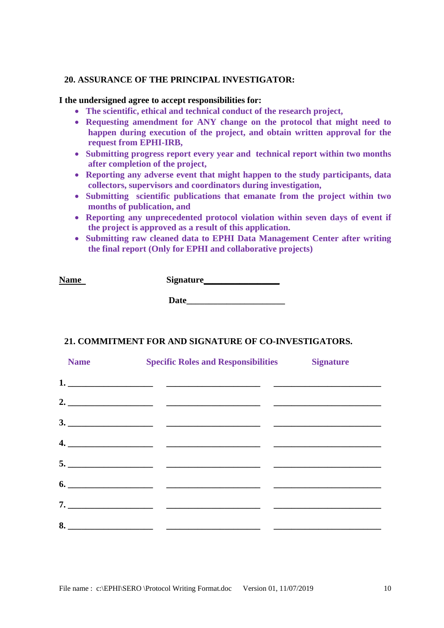#### **20. ASSURANCE OF THE PRINCIPAL INVESTIGATOR:**

#### **I the undersigned agree to accept responsibilities for:**

- **The scientific, ethical and technical conduct of the research project,**
- **Requesting amendment for ANY change on the protocol that might need to happen during execution of the project, and obtain written approval for the request from EPHI-IRB,**
- **Submitting progress report every year and technical report within two months after completion of the project,**
- **Reporting any adverse event that might happen to the study participants, data collectors, supervisors and coordinators during investigation,**
- **Submitting scientific publications that emanate from the project within two months of publication, and**
- **Reporting any unprecedented protocol violation within seven days of event if the project is approved as a result of this application.**
- **Submitting raw cleaned data to EPHI Data Management Center after writing the final report (Only for EPHI and collaborative projects)**

**Name Signature** 

**Date\_\_\_\_\_\_\_\_\_\_\_\_\_\_\_\_\_\_\_\_\_\_**

#### **21. COMMITMENT FOR AND SIGNATURE OF CO-INVESTIGATORS.**

| <b>Name</b> | <b>Specific Roles and Responsibilities</b> | <b>Signature</b> |
|-------------|--------------------------------------------|------------------|
|             |                                            |                  |
|             |                                            |                  |
|             |                                            |                  |
|             |                                            |                  |
|             |                                            |                  |
|             |                                            |                  |
|             |                                            |                  |
|             |                                            |                  |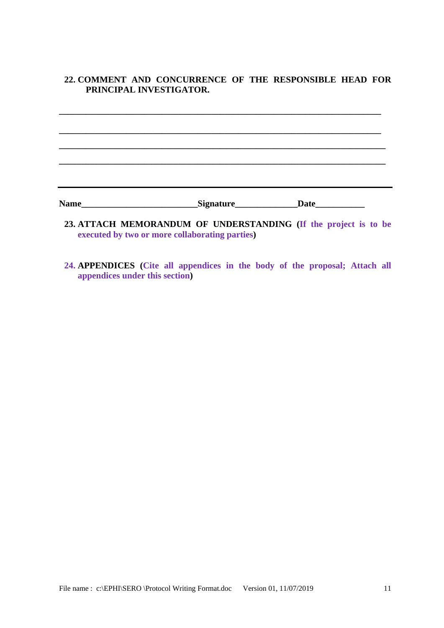## **22. COMMENT AND CONCURRENCE OF THE RESPONSIBLE HEAD FOR PRINCIPAL INVESTIGATOR.**

**\_\_\_\_\_\_\_\_\_\_\_\_\_\_\_\_\_\_\_\_\_\_\_\_\_\_\_\_\_\_\_\_\_\_\_\_\_\_\_\_\_\_\_\_\_\_\_\_\_\_\_\_\_\_\_\_\_\_\_\_\_\_\_\_\_\_\_\_\_\_\_\_**

**\_\_\_\_\_\_\_\_\_\_\_\_\_\_\_\_\_\_\_\_\_\_\_\_\_\_\_\_\_\_\_\_\_\_\_\_\_\_\_\_\_\_\_\_\_\_\_\_\_\_\_\_\_\_\_\_\_\_\_\_\_\_\_\_\_\_\_\_\_\_\_\_**

**\_\_\_\_\_\_\_\_\_\_\_\_\_\_\_\_\_\_\_\_\_\_\_\_\_\_\_\_\_\_\_\_\_\_\_\_\_\_\_\_\_\_\_\_\_\_\_\_\_\_\_\_\_\_\_\_\_\_\_\_\_\_\_\_\_\_\_\_\_\_\_\_\_**

**\_\_\_\_\_\_\_\_\_\_\_\_\_\_\_\_\_\_\_\_\_\_\_\_\_\_\_\_\_\_\_\_\_\_\_\_\_\_\_\_\_\_\_\_\_\_\_\_\_\_\_\_\_\_\_\_\_\_\_\_\_\_\_\_\_\_\_\_\_\_\_\_\_**

Name\_\_\_\_\_\_\_\_\_\_\_\_\_\_\_\_\_\_\_\_\_\_\_\_\_\_\_\_\_\_\_Signature\_\_\_\_\_\_\_\_\_\_\_\_\_\_\_\_\_\_Date\_\_\_\_\_\_\_\_\_\_\_\_\_\_\_

- **23. ATTACH MEMORANDUM OF UNDERSTANDING (If the project is to be executed by two or more collaborating parties)**
- **24. APPENDICES (Cite all appendices in the body of the proposal; Attach all appendices under this section)**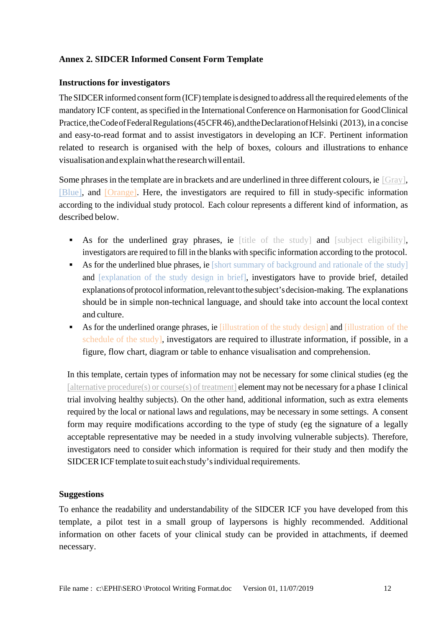## **Annex 2. SIDCER Informed Consent Form Template**

## **Instructions for investigators**

The SIDCER informed consent form (ICF) template is designed to address all the required elements of the mandatory ICF content, as specified in the International Conference on Harmonisation for GoodClinical Practice, the Code of Federal Regulations (45 CFR 46), and the Declaration of Helsinki (2013), in a concise and easy-to-read format and to assist investigators in developing an ICF. Pertinent information related to research is organised with the help of boxes, colours and illustrations to enhance visualisationandexplainwhatthe researchwill entail.

Some phrases in the template are in brackets and are underlined in three different colours, ie [Gray], [Blue], and [Orange]. Here, the investigators are required to fill in study-specific information according to the individual study protocol. Each colour represents a different kind of information, as described below.

- As for the underlined gray phrases, ie [title of the study] and [subject eligibility], investigators are required to fill in the blanks with specific information according to the protocol.
- As for the underlined blue phrases, ie [short summary of background and rationale of the study] and [explanation of the study design in brief], investigators have to provide brief, detailed explanations of protocol information, relevant to the subject's decision-making. The explanations should be in simple non-technical language, and should take into account the local context and culture.
- As for the underlined orange phrases, ie *illustration* of the study design] and *fillustration* of the schedule of the study], investigators are required to illustrate information, if possible, in a figure, flow chart, diagram or table to enhance visualisation and comprehension.

In this template, certain types of information may not be necessary for some clinical studies (eg the [alternative procedure(s) or course(s) of treatment] **element may not be necessary for a phase I clinical** trial involving healthy subjects). On the other hand, additional information, such as extra elements required by the local or national laws and regulations, may be necessary in some settings. A consent form may require modifications according to the type of study (eg the signature of a legally acceptable representative may be needed in a study involving vulnerable subjects). Therefore, investigators need to consider which information is required for their study and then modify the SIDCER ICF template to suit each study's individual requirements.

#### **Suggestions**

To enhance the readability and understandability of the SIDCER ICF you have developed from this template, a pilot test in a small group of laypersons is highly recommended. Additional information on other facets of your clinical study can be provided in attachments, if deemed necessary.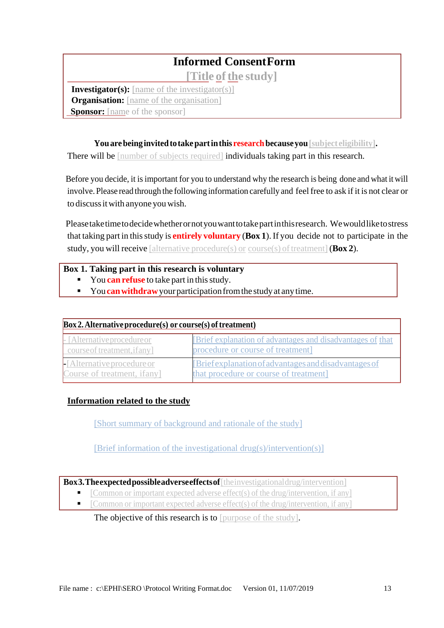## **Informed ConsentForm**

**[Title ofthe study]**

**Investigator(s):** [name of the investigator(s)] **Organisation:** [name of the organisation] **Sponsor:** [name of the sponsor]

You are being invited to take part in this research because you [subject eligibility].

There will be [number of subjects required] individuals taking part in this research.

Before you decide, it is important for you to understand why the research is being done and what it will involve. Please read through the following information carefully and feel free to ask if it is not clear or to discussitwith anyone youwish.

Pleasetaketimetodecidewhetherornotyouwanttotakepartinthisresearch. Wewouldliketostress that taking part in thisstudy is **entirely voluntary** (**Box 1**).If you decide not to participate in the study, you will receive [alternative procedure(s) or course(s) of treatment] (**Box 2**).

## **Box 1. Taking part in this research is voluntary**

- You **can refuse** to take part in this study.
- You **can withdraw** your participation from the study at any time.

| $Box 2$ . Alternative procedure(s) or course(s) of treatment) |                                                            |  |
|---------------------------------------------------------------|------------------------------------------------------------|--|
| - [Alternative procedure or                                   | [Brief explanation of advantages and disadvantages of that |  |
| course of treatment, if any                                   | procedure or course of treatment]                          |  |
| $\blacksquare$ [Alternative procedure or                      | [Brief explanation of advantages and disadvantages of      |  |
| Course of treatment, ifany]                                   | that procedure or course of treatment]                     |  |

## **Information related to the study**

[Short summary of background and rationale of the study]

[Brief information of the investigational drug(s)/intervention(s)]

**Box3.Theexpectedpossibleadverseeffectsof**[theinvestigationaldrug/intervention]

- [Common or important expected adverse effect(s) of the drug/intervention, if any]
- [Common or important expected adverse effect(s) of the drug/intervention, if any]

The objective of this research is to [purpose of the study].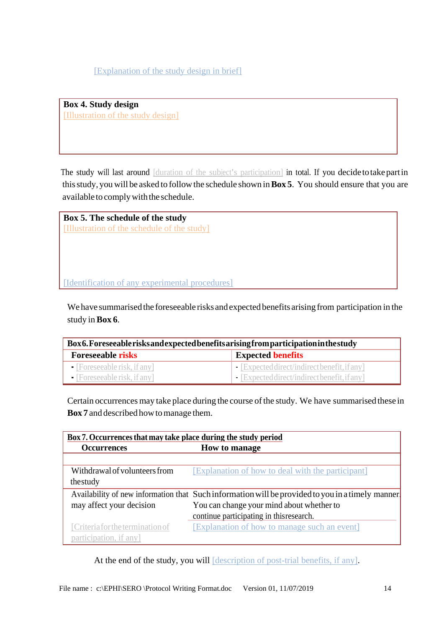[Explanation of the study design in brief]

**Box 4. Study design** [Illustration of the study design]

The study will last around [duration of the subject's participation] in total. If you decide to take partin thisstudy, you will be asked to followthe schedule shown in**Box 5**. You should ensure that you are available to comply with the schedule.

**Box 5. The schedule of the study** [Illustration of the schedule of the study]

[Identification of any experimental procedures]

We have summarised the foreseeable risks and expected benefits arising from participation in the study in**Box 6**.

| Box6. Foreseeable risks and expected benefits arising from participation in the study |                                                           |  |
|---------------------------------------------------------------------------------------|-----------------------------------------------------------|--|
| <b>Foreseeable risks</b>                                                              | <b>Expected benefits</b>                                  |  |
| $\blacksquare$ [Foreseeable risk, if any]                                             | $\blacksquare$ Expected direct/indirect benefit, if any ] |  |
| $\blacksquare$ [Foreseeable risk, if any]                                             | $\blacksquare$ [Expected direct/indirect benefit, if any] |  |

Certain occurrences may take place during the course of the study. We have summarised these in **Box** 7 and described how to manage them.

| Box 7. Occurrences that may take place during the study period |                                                                                                   |  |
|----------------------------------------------------------------|---------------------------------------------------------------------------------------------------|--|
| <b>Occurrences</b>                                             | How to manage                                                                                     |  |
|                                                                |                                                                                                   |  |
| Withdrawal of volunteers from                                  | [Explanation of how to deal with the participant]                                                 |  |
| thestudy                                                       |                                                                                                   |  |
|                                                                | Availability of new information that Such information will be provided to you in a timely manner. |  |
| may affect your decision                                       | You can change your mind about whether to                                                         |  |
|                                                                | continue participating in this research.                                                          |  |
| [Criteria for the termination of                               | [Explanation of how to manage such an event]                                                      |  |
| participation, if any]                                         |                                                                                                   |  |

At the end of the study, you will *description of post-trial benefits*, if any].